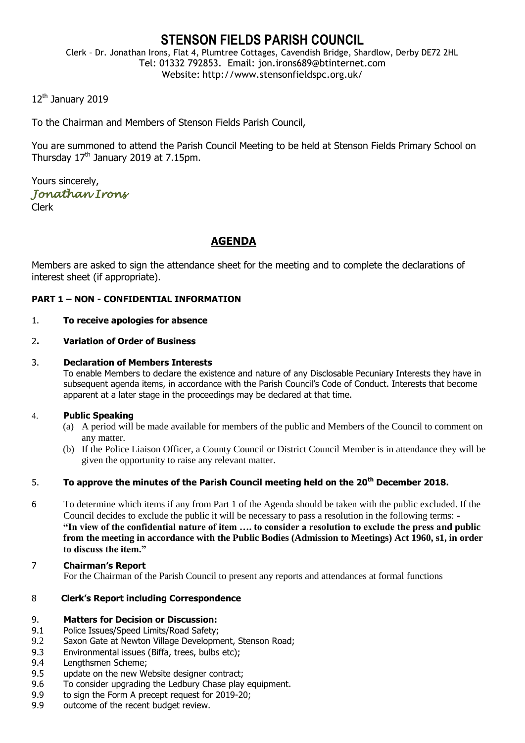# **STENSON FIELDS PARISH COUNCIL**

Clerk – Dr. Jonathan Irons, Flat 4, Plumtree Cottages, Cavendish Bridge, Shardlow, Derby DE72 2HL Tel: 01332 792853. Email: jon.irons689@btinternet.com Website: http://www.stensonfieldspc.org.uk/

12<sup>th</sup> January 2019

To the Chairman and Members of Stenson Fields Parish Council,

You are summoned to attend the Parish Council Meeting to be held at Stenson Fields Primary School on Thursday  $17<sup>th</sup>$  January 2019 at 7.15pm.

Yours sincerely, *Jonathan Irons* 

Clerk

# **AGENDA**

Members are asked to sign the attendance sheet for the meeting and to complete the declarations of interest sheet (if appropriate).

## **PART 1 – NON - CONFIDENTIAL INFORMATION**

### 1. **To receive apologies for absence**

### 2**. Variation of Order of Business**

### 3. **Declaration of Members Interests**

To enable Members to declare the existence and nature of any Disclosable Pecuniary Interests they have in subsequent agenda items, in accordance with the Parish Council's Code of Conduct. Interests that become apparent at a later stage in the proceedings may be declared at that time.

#### 4. **Public Speaking**

- (a) A period will be made available for members of the public and Members of the Council to comment on any matter.
- (b) If the Police Liaison Officer, a County Council or District Council Member is in attendance they will be given the opportunity to raise any relevant matter.

# 5. **To approve the minutes of the Parish Council meeting held on the 20th December 2018.**

- 6 To determine which items if any from Part 1 of the Agenda should be taken with the public excluded. If the Council decides to exclude the public it will be necessary to pass a resolution in the following terms: - **"In view of the confidential nature of item …. to consider a resolution to exclude the press and public from the meeting in accordance with the Public Bodies (Admission to Meetings) Act 1960, s1, in order to discuss the item."**
- 7 **Chairman's Report** For the Chairman of the Parish Council to present any reports and attendances at formal functions

### 8 **Clerk's Report including Correspondence**

### 9. **Matters for Decision or Discussion:**

- 9.1 Police Issues/Speed Limits/Road Safety;
- 9.2 Saxon Gate at Newton Village Development, Stenson Road;
- 9.3 Environmental issues (Biffa, trees, bulbs etc);
- 9.4 Lengthsmen Scheme;
- 9.5 update on the new Website designer contract;
- 9.6 To consider upgrading the Ledbury Chase play equipment.
- 9.9 to sign the Form A precept request for 2019-20;
- 9.9 outcome of the recent budget review.